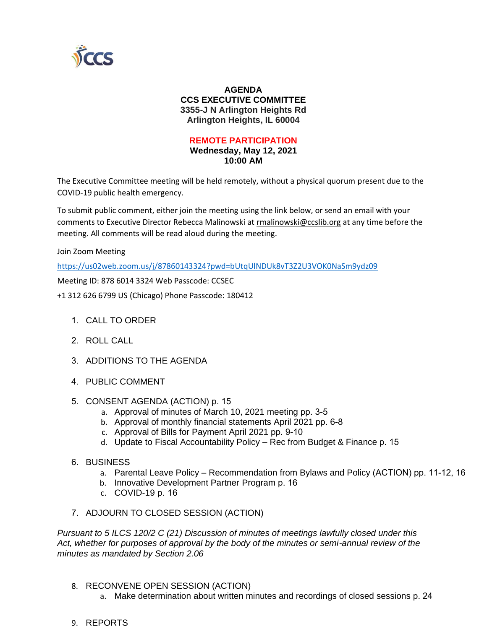

## **AGENDA CCS EXECUTIVE COMMITTEE 3355-J N Arlington Heights Rd Arlington Heights, IL 60004**

## **REMOTE PARTICIPATION**

**Wednesday, May 12, 2021 10:00 AM**

The Executive Committee meeting will be held remotely, without a physical quorum present due to the COVID-19 public health emergency.

To submit public comment, either join the meeting using the link below, or send an email with your comments to Executive Director Rebecca Malinowski at rmalinowski@ccslib.org at any time before the meeting. All comments will be read aloud during the meeting.

Join Zoom Meeting

https://us02web.zoom.us/j/87860143324?pwd=bUtqUlNDUk8vT3Z2U3VOK0NaSm9ydz09

Meeting ID: 878 6014 3324 Web Passcode: CCSEC

+1 312 626 6799 US (Chicago) Phone Passcode: 180412

- 1. CALL TO ORDER
- 2. ROLL CALL
- 3. ADDITIONS TO THE AGENDA
- 4. PUBLIC COMMENT
- 5. CONSENT AGENDA (ACTION) p. 15
	- a. Approval of minutes of March 10, 2021 meeting pp. 3-5
	- b. Approval of monthly financial statements April 2021 pp. 6-8
	- c. Approval of Bills for Payment April 2021 pp. 9-10
	- d. Update to Fiscal Accountability Policy Rec from Budget & Finance p. 15
- 6. BUSINESS
	- a. Parental Leave Policy Recommendation from Bylaws and Policy (ACTION) pp. 11-12, 16
	- b. Innovative Development Partner Program p. 16
	- c. COVID-19 p. 16
- 7. ADJOURN TO CLOSED SESSION (ACTION)

*Pursuant to 5 ILCS 120/2 C (21) Discussion of minutes of meetings lawfully closed under this Act, whether for purposes of approval by the body of the minutes or semi-annual review of the minutes as mandated by Section 2.06*

- 8. RECONVENE OPEN SESSION (ACTION)
	- a. Make determination about written minutes and recordings of closed sessions p. 24
- 9. REPORTS